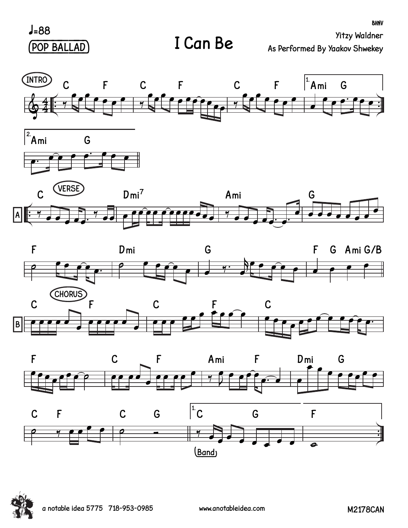$J=88$ (POP BALLAD) **BHNV**